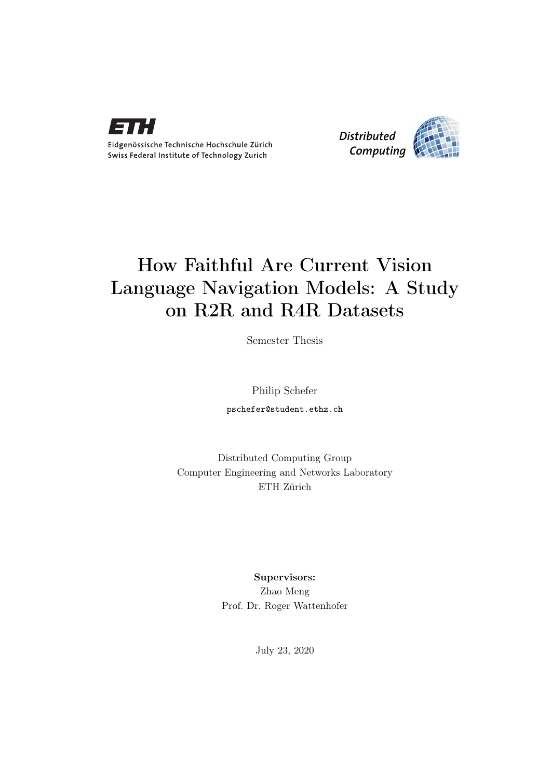

Eidgenössische Technische Hochschule Zürich Swiss Federal Institute of Technology Zurich



# How Faithful Are Current Vision Language Navigation Models: A Study on R2R and R4R Datasets

Semester Thesis

Philip Schefer

pschefer@student.ethz.ch

Distributed Computing Group Computer Engineering and Networks Laboratory ETH Zürich

> Supervisors: Zhao Meng Prof. Dr. Roger Wattenhofer

> > July 23, 2020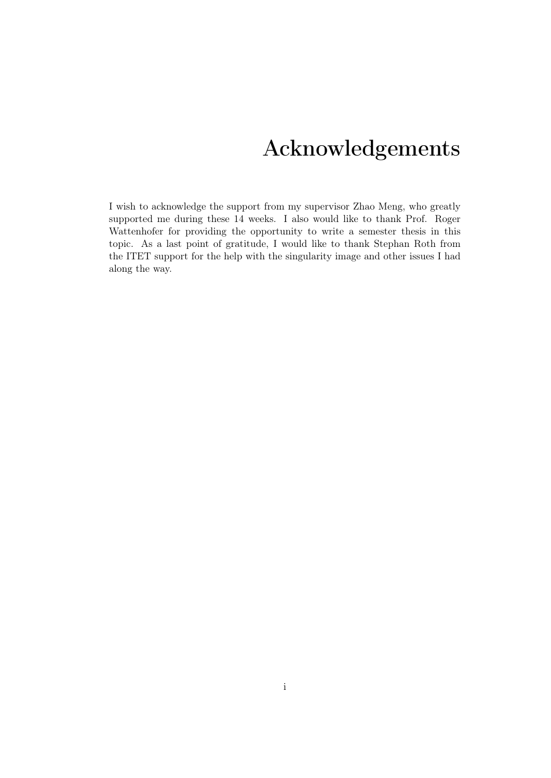# Acknowledgements

<span id="page-1-0"></span>I wish to acknowledge the support from my supervisor Zhao Meng, who greatly supported me during these 14 weeks. I also would like to thank Prof. Roger Wattenhofer for providing the opportunity to write a semester thesis in this topic. As a last point of gratitude, I would like to thank Stephan Roth from the ITET support for the help with the singularity image and other issues I had along the way.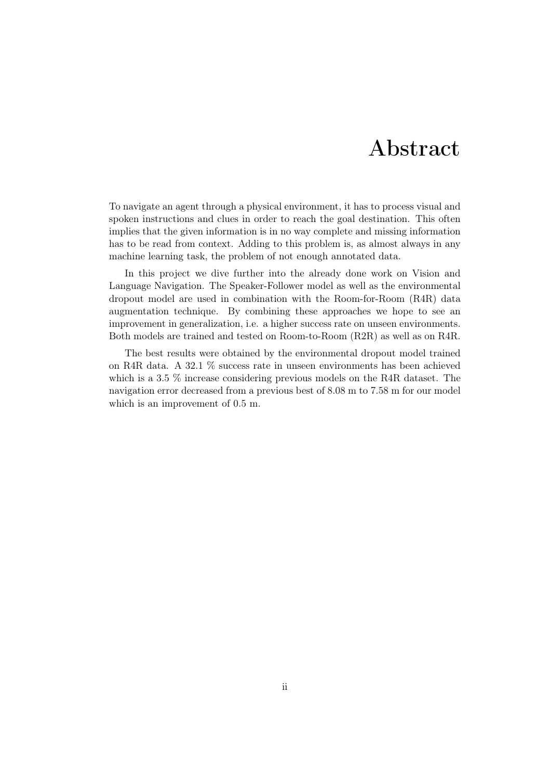# Abstract

<span id="page-2-0"></span>To navigate an agent through a physical environment, it has to process visual and spoken instructions and clues in order to reach the goal destination. This often implies that the given information is in no way complete and missing information has to be read from context. Adding to this problem is, as almost always in any machine learning task, the problem of not enough annotated data.

In this project we dive further into the already done work on Vision and Language Navigation. The Speaker-Follower model as well as the environmental dropout model are used in combination with the Room-for-Room (R4R) data augmentation technique. By combining these approaches we hope to see an improvement in generalization, i.e. a higher success rate on unseen environments. Both models are trained and tested on Room-to-Room (R2R) as well as on R4R.

The best results were obtained by the environmental dropout model trained on R4R data. A 32.1 % success rate in unseen environments has been achieved which is a 3.5 % increase considering previous models on the R4R dataset. The navigation error decreased from a previous best of 8.08 m to 7.58 m for our model which is an improvement of 0.5 m.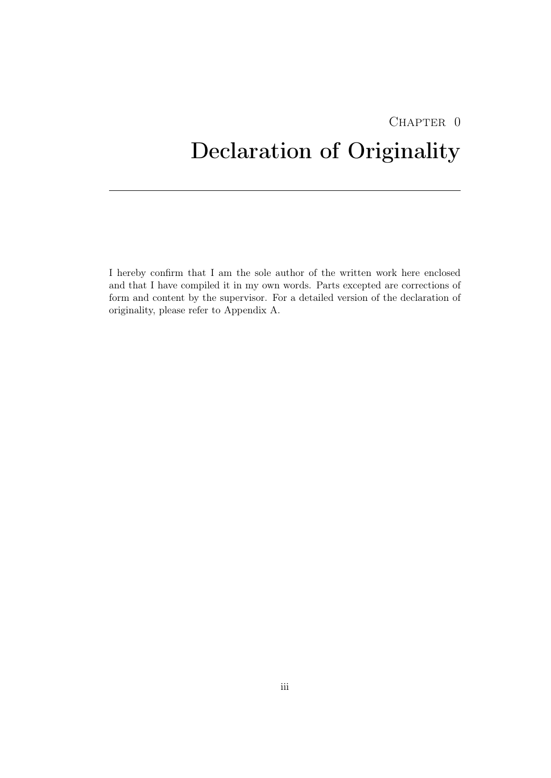# <span id="page-3-0"></span>CHAPTER 0 Declaration of Originality

I hereby confirm that I am the sole author of the written work here enclosed and that I have compiled it in my own words. Parts excepted are corrections of form and content by the supervisor. For a detailed version of the declaration of originality, please refer to Appendix A.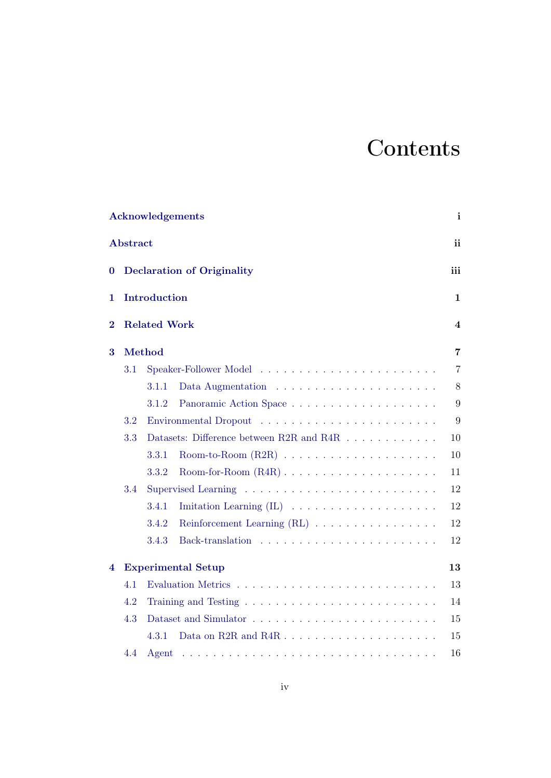# **Contents**

|          |                                          | <b>Acknowledgements</b>                                                                                     | $\mathbf{i}$   |  |  |  |  |  |  |  |  |  |
|----------|------------------------------------------|-------------------------------------------------------------------------------------------------------------|----------------|--|--|--|--|--|--|--|--|--|
|          | <b>Abstract</b>                          |                                                                                                             | ii             |  |  |  |  |  |  |  |  |  |
| $\bf{0}$ | <b>Declaration of Originality</b><br>iii |                                                                                                             |                |  |  |  |  |  |  |  |  |  |
| 1        | Introduction                             |                                                                                                             |                |  |  |  |  |  |  |  |  |  |
| $\bf{2}$ | <b>Related Work</b>                      |                                                                                                             |                |  |  |  |  |  |  |  |  |  |
| 3        |                                          | Method                                                                                                      | $\overline{7}$ |  |  |  |  |  |  |  |  |  |
|          | 3.1                                      |                                                                                                             | $\overline{7}$ |  |  |  |  |  |  |  |  |  |
|          |                                          | 3.1.1                                                                                                       | $8\,$          |  |  |  |  |  |  |  |  |  |
|          |                                          | 3.1.2                                                                                                       | 9              |  |  |  |  |  |  |  |  |  |
|          | 3.2                                      |                                                                                                             | 9              |  |  |  |  |  |  |  |  |  |
|          | 3.3                                      | Datasets: Difference between R2R and R4R                                                                    | 10             |  |  |  |  |  |  |  |  |  |
|          |                                          | 3.3.1                                                                                                       | 10             |  |  |  |  |  |  |  |  |  |
|          |                                          | 3.3.2                                                                                                       | 11             |  |  |  |  |  |  |  |  |  |
|          | 3.4                                      |                                                                                                             | 12             |  |  |  |  |  |  |  |  |  |
|          |                                          | 3.4.1                                                                                                       | 12             |  |  |  |  |  |  |  |  |  |
|          |                                          | 3.4.2                                                                                                       | 12             |  |  |  |  |  |  |  |  |  |
|          |                                          | 3.4.3                                                                                                       | 12             |  |  |  |  |  |  |  |  |  |
| 4        |                                          | <b>Experimental Setup</b>                                                                                   | 13             |  |  |  |  |  |  |  |  |  |
|          | 4.1                                      |                                                                                                             | 13             |  |  |  |  |  |  |  |  |  |
|          | 4.2                                      |                                                                                                             | 14             |  |  |  |  |  |  |  |  |  |
|          | 4.3                                      |                                                                                                             | 15             |  |  |  |  |  |  |  |  |  |
|          |                                          | 4.3.1                                                                                                       | 15             |  |  |  |  |  |  |  |  |  |
|          | 4.4                                      | Agent<br>والمتعاونة والمتعاونة والمتعاونة والمتعاونة والمتعاونة والمتعاونة والمتعاونة والمتعاونة والمتعاونة | 16             |  |  |  |  |  |  |  |  |  |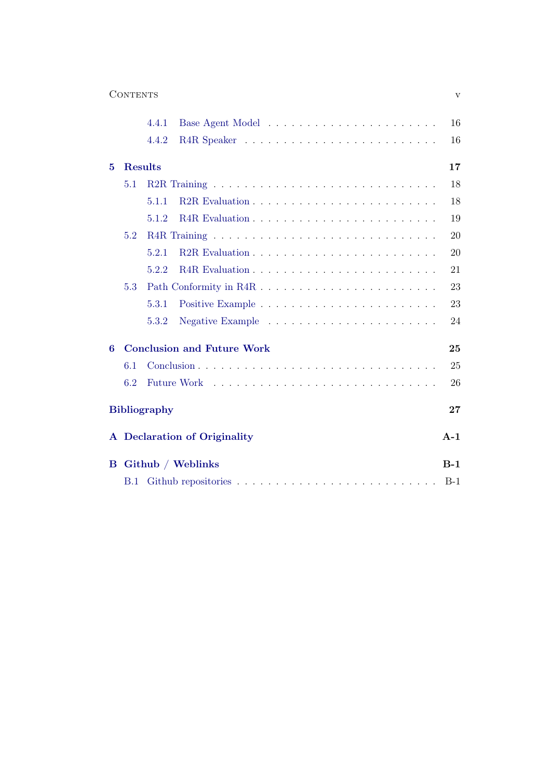| <b>CONTENTS</b> |  |
|-----------------|--|
|-----------------|--|

|   |                | 4.4.1               |                                   | 16    |
|---|----------------|---------------------|-----------------------------------|-------|
|   |                | 4.4.2               |                                   | 16    |
| 5 | <b>Results</b> |                     |                                   | 17    |
|   | 5.1            |                     |                                   | 18    |
|   |                | 5.1.1               |                                   | 18    |
|   |                | 5.1.2               |                                   | 19    |
|   | 5.2            |                     |                                   | 20    |
|   |                | 5.2.1               |                                   | 20    |
|   |                | 5.2.2               |                                   | 21    |
|   | 5.3            |                     |                                   | 23    |
|   |                | 5.3.1               |                                   | 23    |
|   |                | 5.3.2               |                                   | 24    |
| 6 |                |                     | <b>Conclusion and Future Work</b> | 25    |
|   | 6.1            |                     |                                   | 25    |
|   | 6.2            |                     |                                   | 26    |
|   |                | <b>Bibliography</b> |                                   | 27    |
|   |                |                     | A Declaration of Originality      | $A-1$ |
| B |                |                     | Github / Weblinks                 | $B-1$ |
|   | <b>B.1</b>     |                     |                                   | $B-1$ |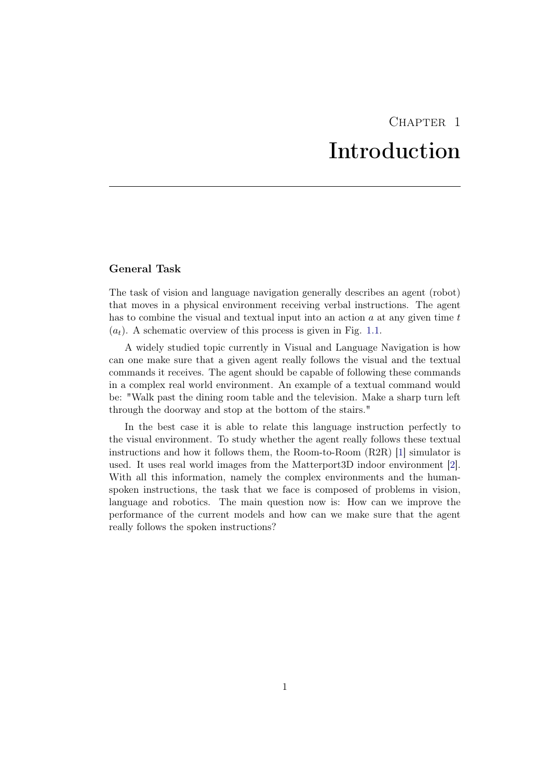# CHAPTER<sub>1</sub> Introduction

### <span id="page-6-0"></span>General Task

The task of vision and language navigation generally describes an agent (robot) that moves in a physical environment receiving verbal instructions. The agent has to combine the visual and textual input into an action  $a$  at any given time  $t$  $(a_t)$ . A schematic overview of this process is given in Fig. [1.1.](#page-7-0)

A widely studied topic currently in Visual and Language Navigation is how can one make sure that a given agent really follows the visual and the textual commands it receives. The agent should be capable of following these commands in a complex real world environment. An example of a textual command would be: "Walk past the dining room table and the television. Make a sharp turn left through the doorway and stop at the bottom of the stairs."

In the best case it is able to relate this language instruction perfectly to the visual environment. To study whether the agent really follows these textual instructions and how it follows them, the Room-to-Room (R2R) [\[1\]](#page-32-1) simulator is used. It uses real world images from the Matterport3D indoor environment [\[2\]](#page-32-2). With all this information, namely the complex environments and the humanspoken instructions, the task that we face is composed of problems in vision, language and robotics. The main question now is: How can we improve the performance of the current models and how can we make sure that the agent really follows the spoken instructions?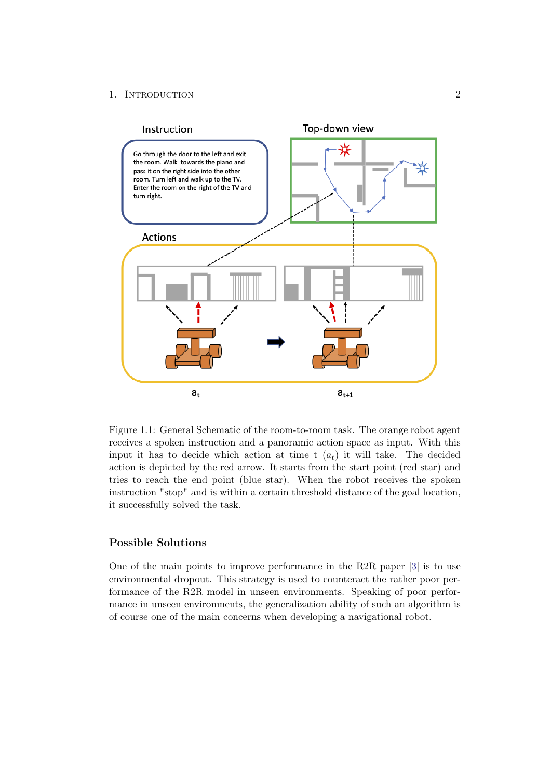### 1. INTRODUCTION 2



<span id="page-7-0"></span>Figure 1.1: General Schematic of the room-to-room task. The orange robot agent receives a spoken instruction and a panoramic action space as input. With this input it has to decide which action at time t  $(a_t)$  it will take. The decided action is depicted by the red arrow. It starts from the start point (red star) and tries to reach the end point (blue star). When the robot receives the spoken instruction "stop" and is within a certain threshold distance of the goal location, it successfully solved the task.

## Possible Solutions

One of the main points to improve performance in the R2R paper [\[3\]](#page-32-3) is to use environmental dropout. This strategy is used to counteract the rather poor performance of the R2R model in unseen environments. Speaking of poor performance in unseen environments, the generalization ability of such an algorithm is of course one of the main concerns when developing a navigational robot.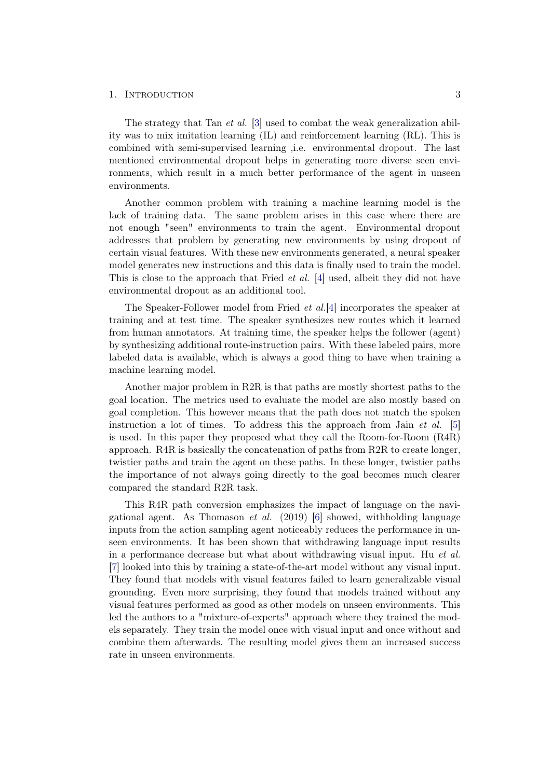#### 1. INTRODUCTION 3

The strategy that Tan *et al.* [\[3\]](#page-32-3) used to combat the weak generalization ability was to mix imitation learning (IL) and reinforcement learning (RL). This is combined with semi-supervised learning ,i.e. environmental dropout. The last mentioned environmental dropout helps in generating more diverse seen environments, which result in a much better performance of the agent in unseen environments.

Another common problem with training a machine learning model is the lack of training data. The same problem arises in this case where there are not enough "seen" environments to train the agent. Environmental dropout addresses that problem by generating new environments by using dropout of certain visual features. With these new environments generated, a neural speaker model generates new instructions and this data is finally used to train the model. This is close to the approach that Fried *et al.* [\[4\]](#page-32-4) used, albeit they did not have environmental dropout as an additional tool.

The Speaker-Follower model from Fried et al.[\[4\]](#page-32-4) incorporates the speaker at training and at test time. The speaker synthesizes new routes which it learned from human annotators. At training time, the speaker helps the follower (agent) by synthesizing additional route-instruction pairs. With these labeled pairs, more labeled data is available, which is always a good thing to have when training a machine learning model.

Another major problem in R2R is that paths are mostly shortest paths to the goal location. The metrics used to evaluate the model are also mostly based on goal completion. This however means that the path does not match the spoken instruction a lot of times. To address this the approach from Jain *et al.* [\[5\]](#page-32-5) is used. In this paper they proposed what they call the Room-for-Room (R4R) approach. R4R is basically the concatenation of paths from R2R to create longer, twistier paths and train the agent on these paths. In these longer, twistier paths the importance of not always going directly to the goal becomes much clearer compared the standard R2R task.

This R4R path conversion emphasizes the impact of language on the navigational agent. As Thomason *et al.* (2019) [\[6\]](#page-32-6) showed, withholding language inputs from the action sampling agent noticeably reduces the performance in unseen environments. It has been shown that withdrawing language input results in a performance decrease but what about withdrawing visual input. Hu et al. [\[7\]](#page-32-7) looked into this by training a state-of-the-art model without any visual input. They found that models with visual features failed to learn generalizable visual grounding. Even more surprising, they found that models trained without any visual features performed as good as other models on unseen environments. This led the authors to a "mixture-of-experts" approach where they trained the models separately. They train the model once with visual input and once without and combine them afterwards. The resulting model gives them an increased success rate in unseen environments.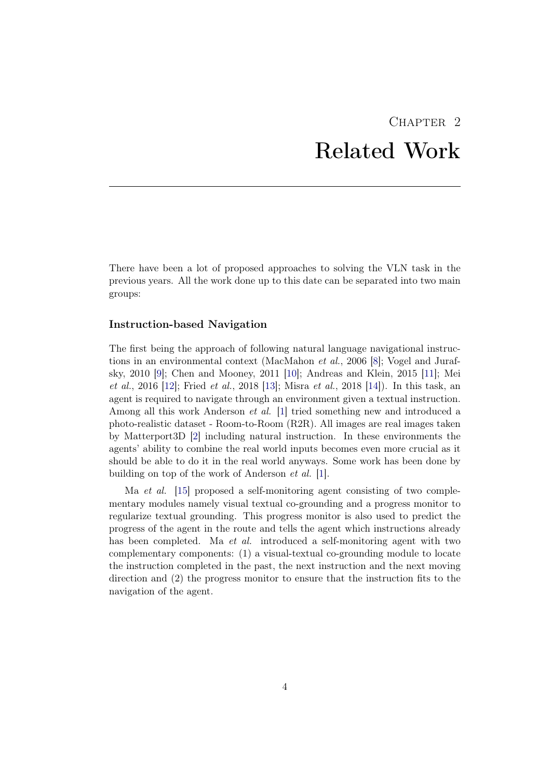# CHAPTER<sub>2</sub> Related Work

<span id="page-9-0"></span>There have been a lot of proposed approaches to solving the VLN task in the previous years. All the work done up to this date can be separated into two main groups:

#### Instruction-based Navigation

The first being the approach of following natural language navigational instructions in an environmental context (MacMahon et al., 2006 [\[8\]](#page-32-8); Vogel and Jurafsky, 2010 [\[9\]](#page-32-9); Chen and Mooney, 2011 [\[10\]](#page-33-0); Andreas and Klein, 2015 [\[11\]](#page-33-1); Mei *et al.*, 2016 [\[12\]](#page-33-2); Fried *et al.*, 2018 [\[13\]](#page-33-3); Misra *et al.*, 2018 [\[14\]](#page-33-4)). In this task, an agent is required to navigate through an environment given a textual instruction. Among all this work Anderson et al. [\[1\]](#page-32-1) tried something new and introduced a photo-realistic dataset - Room-to-Room (R2R). All images are real images taken by Matterport3D [\[2\]](#page-32-2) including natural instruction. In these environments the agents' ability to combine the real world inputs becomes even more crucial as it should be able to do it in the real world anyways. Some work has been done by building on top of the work of Anderson et al. [\[1\]](#page-32-1).

Ma *et al.* [\[15\]](#page-33-5) proposed a self-monitoring agent consisting of two complementary modules namely visual textual co-grounding and a progress monitor to regularize textual grounding. This progress monitor is also used to predict the progress of the agent in the route and tells the agent which instructions already has been completed. Ma *et al.* introduced a self-monitoring agent with two complementary components: (1) a visual-textual co-grounding module to locate the instruction completed in the past, the next instruction and the next moving direction and (2) the progress monitor to ensure that the instruction fits to the navigation of the agent.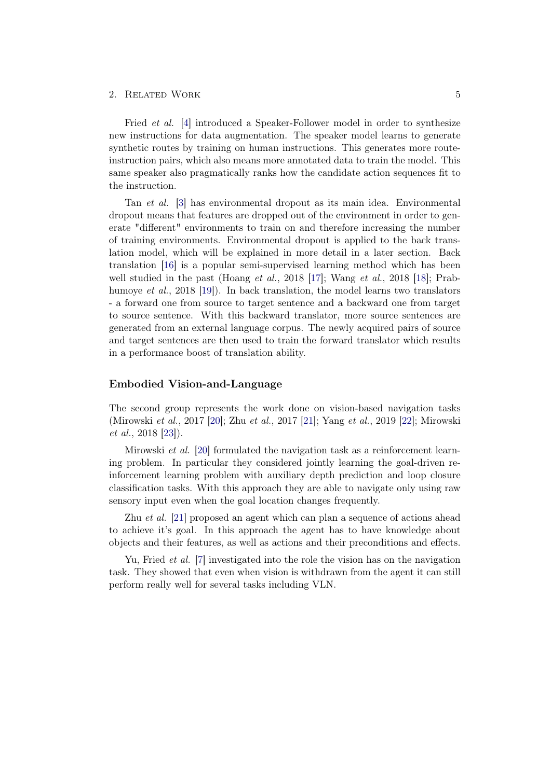#### 2. RELATED WORK 5

Fried et al. [\[4\]](#page-32-4) introduced a Speaker-Follower model in order to synthesize new instructions for data augmentation. The speaker model learns to generate synthetic routes by training on human instructions. This generates more routeinstruction pairs, which also means more annotated data to train the model. This same speaker also pragmatically ranks how the candidate action sequences fit to the instruction.

Tan et al. [\[3\]](#page-32-3) has environmental dropout as its main idea. Environmental dropout means that features are dropped out of the environment in order to generate "different" environments to train on and therefore increasing the number of training environments. Environmental dropout is applied to the back translation model, which will be explained in more detail in a later section. Back translation [\[16\]](#page-33-6) is a popular semi-supervised learning method which has been well studied in the past (Hoang et al., 2018 [\[17\]](#page-33-7); Wang et al., 2018 [\[18\]](#page-33-8); Prabhumoye et al., 2018 [\[19\]](#page-33-9)). In back translation, the model learns two translators - a forward one from source to target sentence and a backward one from target to source sentence. With this backward translator, more source sentences are generated from an external language corpus. The newly acquired pairs of source and target sentences are then used to train the forward translator which results in a performance boost of translation ability.

### Embodied Vision-and-Language

The second group represents the work done on vision-based navigation tasks (Mirowski et al., 2017 [\[20\]](#page-34-0); Zhu et al., 2017 [\[21\]](#page-34-1); Yang et al., 2019 [\[22\]](#page-34-2); Mirowski et al., 2018 [\[23\]](#page-34-3)).

Mirowski et al. [\[20\]](#page-34-0) formulated the navigation task as a reinforcement learning problem. In particular they considered jointly learning the goal-driven reinforcement learning problem with auxiliary depth prediction and loop closure classification tasks. With this approach they are able to navigate only using raw sensory input even when the goal location changes frequently.

Zhu et al. [\[21\]](#page-34-1) proposed an agent which can plan a sequence of actions ahead to achieve it's goal. In this approach the agent has to have knowledge about objects and their features, as well as actions and their preconditions and effects.

Yu, Fried et al. [\[7\]](#page-32-7) investigated into the role the vision has on the navigation task. They showed that even when vision is withdrawn from the agent it can still perform really well for several tasks including VLN.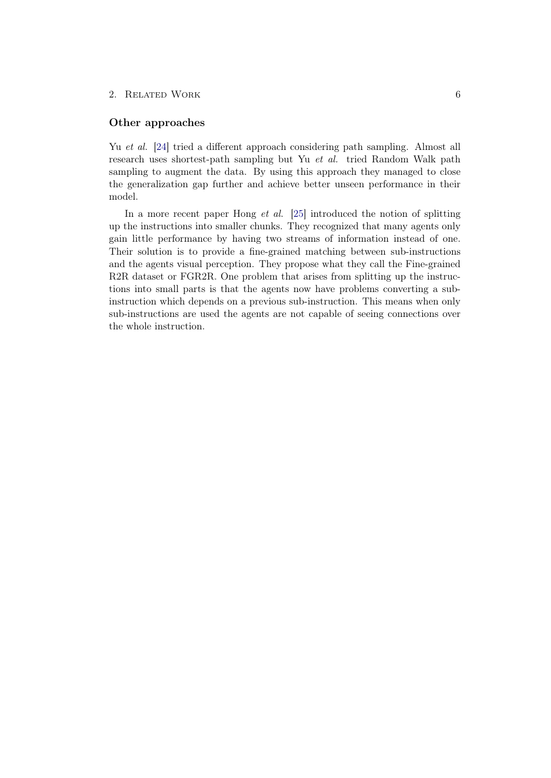#### 2. RELATED WORK 6

#### Other approaches

Yu et al. [\[24\]](#page-34-4) tried a different approach considering path sampling. Almost all research uses shortest-path sampling but Yu et al. tried Random Walk path sampling to augment the data. By using this approach they managed to close the generalization gap further and achieve better unseen performance in their model.

In a more recent paper Hong *et al.* [\[25\]](#page-34-5) introduced the notion of splitting up the instructions into smaller chunks. They recognized that many agents only gain little performance by having two streams of information instead of one. Their solution is to provide a fine-grained matching between sub-instructions and the agents visual perception. They propose what they call the Fine-grained R2R dataset or FGR2R. One problem that arises from splitting up the instructions into small parts is that the agents now have problems converting a subinstruction which depends on a previous sub-instruction. This means when only sub-instructions are used the agents are not capable of seeing connections over the whole instruction.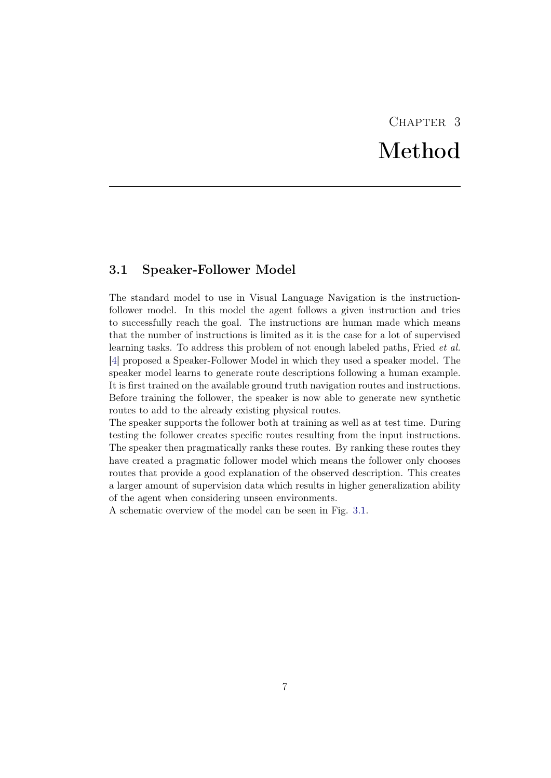# CHAPTER<sub>3</sub> Method

## <span id="page-12-1"></span><span id="page-12-0"></span>3.1 Speaker-Follower Model

The standard model to use in Visual Language Navigation is the instructionfollower model. In this model the agent follows a given instruction and tries to successfully reach the goal. The instructions are human made which means that the number of instructions is limited as it is the case for a lot of supervised learning tasks. To address this problem of not enough labeled paths, Fried et al. [\[4\]](#page-32-4) proposed a Speaker-Follower Model in which they used a speaker model. The speaker model learns to generate route descriptions following a human example. It is first trained on the available ground truth navigation routes and instructions. Before training the follower, the speaker is now able to generate new synthetic routes to add to the already existing physical routes.

The speaker supports the follower both at training as well as at test time. During testing the follower creates specific routes resulting from the input instructions. The speaker then pragmatically ranks these routes. By ranking these routes they have created a pragmatic follower model which means the follower only chooses routes that provide a good explanation of the observed description. This creates a larger amount of supervision data which results in higher generalization ability of the agent when considering unseen environments.

A schematic overview of the model can be seen in Fig. [3.1.](#page-13-1)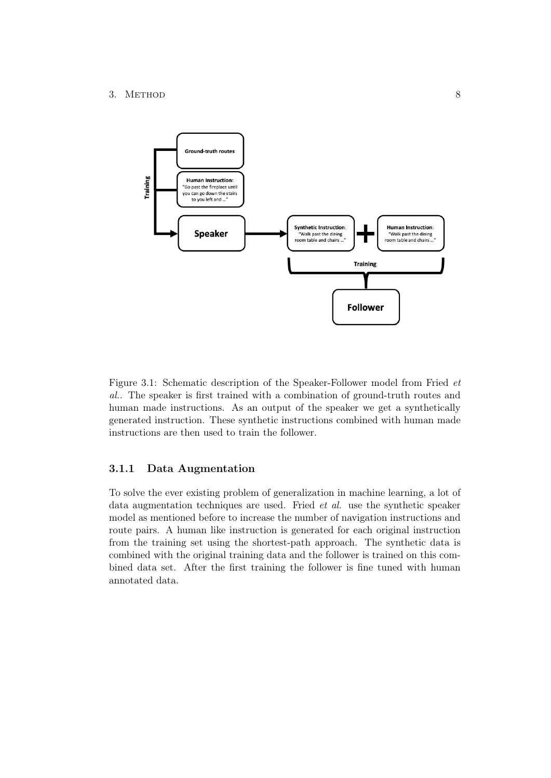#### 3. METHOD 8



<span id="page-13-1"></span>Figure 3.1: Schematic description of the Speaker-Follower model from Fried et al.. The speaker is first trained with a combination of ground-truth routes and human made instructions. As an output of the speaker we get a synthetically generated instruction. These synthetic instructions combined with human made instructions are then used to train the follower.

### <span id="page-13-0"></span>3.1.1 Data Augmentation

To solve the ever existing problem of generalization in machine learning, a lot of data augmentation techniques are used. Fried et al. use the synthetic speaker model as mentioned before to increase the number of navigation instructions and route pairs. A human like instruction is generated for each original instruction from the training set using the shortest-path approach. The synthetic data is combined with the original training data and the follower is trained on this combined data set. After the first training the follower is fine tuned with human annotated data.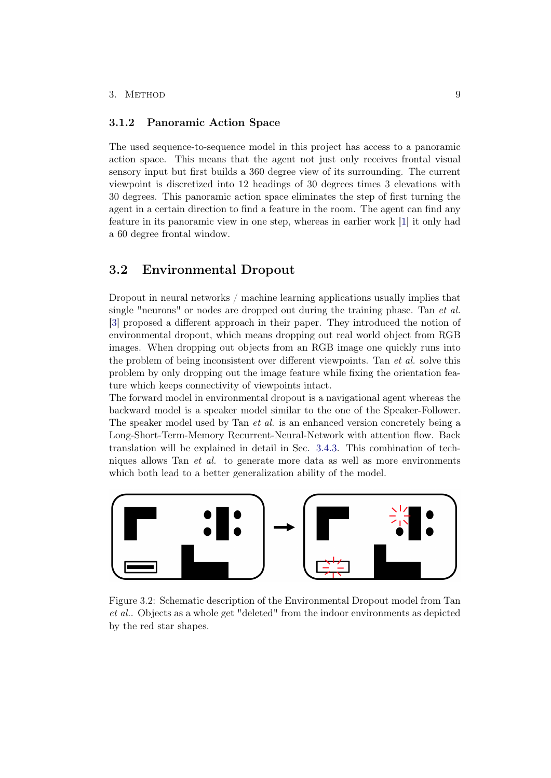#### 3. METHOD 9

### <span id="page-14-0"></span>3.1.2 Panoramic Action Space

The used sequence-to-sequence model in this project has access to a panoramic action space. This means that the agent not just only receives frontal visual sensory input but first builds a 360 degree view of its surrounding. The current viewpoint is discretized into 12 headings of 30 degrees times 3 elevations with 30 degrees. This panoramic action space eliminates the step of first turning the agent in a certain direction to find a feature in the room. The agent can find any feature in its panoramic view in one step, whereas in earlier work [\[1\]](#page-32-1) it only had a 60 degree frontal window.

## <span id="page-14-1"></span>3.2 Environmental Dropout

Dropout in neural networks / machine learning applications usually implies that single "neurons" or nodes are dropped out during the training phase. Tan et al. [\[3\]](#page-32-3) proposed a different approach in their paper. They introduced the notion of environmental dropout, which means dropping out real world object from RGB images. When dropping out objects from an RGB image one quickly runs into the problem of being inconsistent over different viewpoints. Tan et al. solve this problem by only dropping out the image feature while fixing the orientation feature which keeps connectivity of viewpoints intact.

The forward model in environmental dropout is a navigational agent whereas the backward model is a speaker model similar to the one of the Speaker-Follower. The speaker model used by Tan *et al.* is an enhanced version concretely being a Long-Short-Term-Memory Recurrent-Neural-Network with attention flow. Back translation will be explained in detail in Sec. [3.4.3.](#page-17-3) This combination of techniques allows Tan et al. to generate more data as well as more environments which both lead to a better generalization ability of the model.



Figure 3.2: Schematic description of the Environmental Dropout model from Tan et al.. Objects as a whole get "deleted" from the indoor environments as depicted by the red star shapes.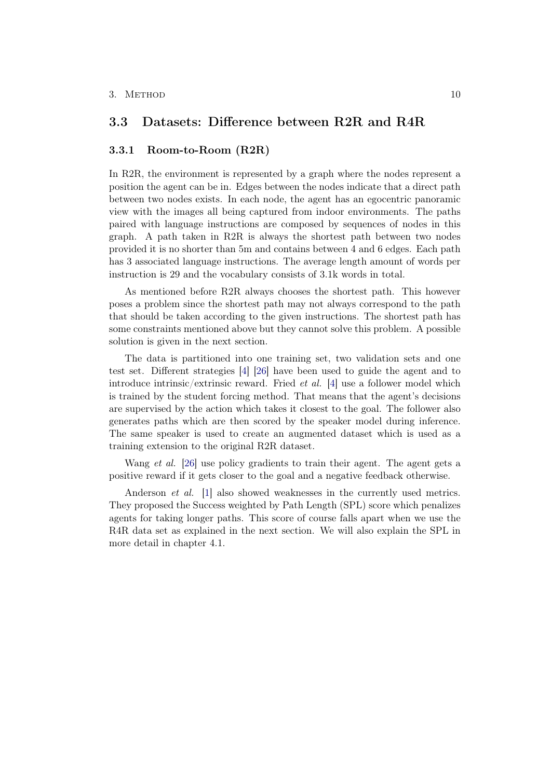## <span id="page-15-0"></span>3.3 Datasets: Difference between R2R and R4R

#### <span id="page-15-1"></span>3.3.1 Room-to-Room (R2R)

In R2R, the environment is represented by a graph where the nodes represent a position the agent can be in. Edges between the nodes indicate that a direct path between two nodes exists. In each node, the agent has an egocentric panoramic view with the images all being captured from indoor environments. The paths paired with language instructions are composed by sequences of nodes in this graph. A path taken in R2R is always the shortest path between two nodes provided it is no shorter than 5m and contains between 4 and 6 edges. Each path has 3 associated language instructions. The average length amount of words per instruction is 29 and the vocabulary consists of 3.1k words in total.

As mentioned before R2R always chooses the shortest path. This however poses a problem since the shortest path may not always correspond to the path that should be taken according to the given instructions. The shortest path has some constraints mentioned above but they cannot solve this problem. A possible solution is given in the next section.

The data is partitioned into one training set, two validation sets and one test set. Different strategies [\[4\]](#page-32-4) [\[26\]](#page-34-6) have been used to guide the agent and to introduce intrinsic/extrinsic reward. Fried *et al.* [\[4\]](#page-32-4) use a follower model which is trained by the student forcing method. That means that the agent's decisions are supervised by the action which takes it closest to the goal. The follower also generates paths which are then scored by the speaker model during inference. The same speaker is used to create an augmented dataset which is used as a training extension to the original R2R dataset.

Wang *et al.* [\[26\]](#page-34-6) use policy gradients to train their agent. The agent gets a positive reward if it gets closer to the goal and a negative feedback otherwise.

Anderson *et al.* [\[1\]](#page-32-1) also showed weaknesses in the currently used metrics. They proposed the Success weighted by Path Length (SPL) score which penalizes agents for taking longer paths. This score of course falls apart when we use the R4R data set as explained in the next section. We will also explain the SPL in more detail in chapter 4.1.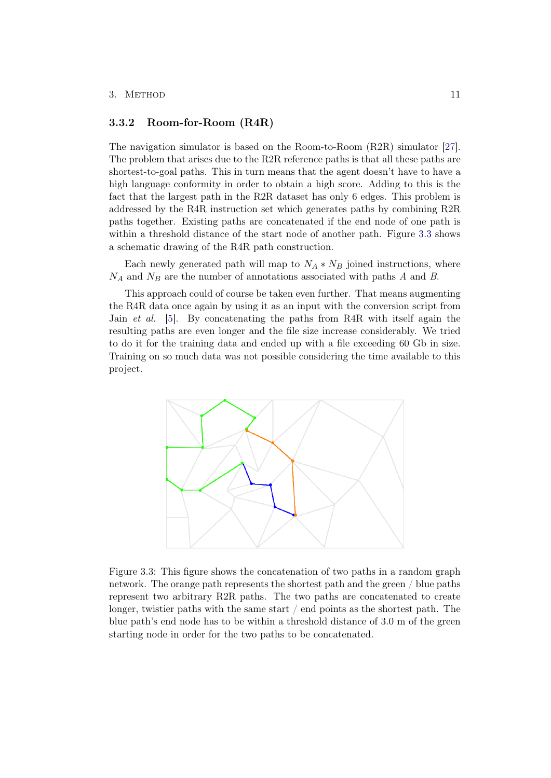#### 3. METHOD 11

#### <span id="page-16-0"></span>3.3.2 Room-for-Room (R4R)

The navigation simulator is based on the Room-to-Room (R2R) simulator [\[27\]](#page-34-7). The problem that arises due to the R2R reference paths is that all these paths are shortest-to-goal paths. This in turn means that the agent doesn't have to have a high language conformity in order to obtain a high score. Adding to this is the fact that the largest path in the R2R dataset has only 6 edges. This problem is addressed by the R4R instruction set which generates paths by combining R2R paths together. Existing paths are concatenated if the end node of one path is within a threshold distance of the start node of another path. Figure [3.3](#page-16-1) shows a schematic drawing of the R4R path construction.

Each newly generated path will map to  $N_A * N_B$  joined instructions, where  $N_A$  and  $N_B$  are the number of annotations associated with paths A and B.

This approach could of course be taken even further. That means augmenting the R4R data once again by using it as an input with the conversion script from Jain et al. [\[5\]](#page-32-5). By concatenating the paths from R4R with itself again the resulting paths are even longer and the file size increase considerably. We tried to do it for the training data and ended up with a file exceeding 60 Gb in size. Training on so much data was not possible considering the time available to this project.



<span id="page-16-1"></span>Figure 3.3: This figure shows the concatenation of two paths in a random graph network. The orange path represents the shortest path and the green / blue paths represent two arbitrary R2R paths. The two paths are concatenated to create longer, twistier paths with the same start / end points as the shortest path. The blue path's end node has to be within a threshold distance of 3.0 m of the green starting node in order for the two paths to be concatenated.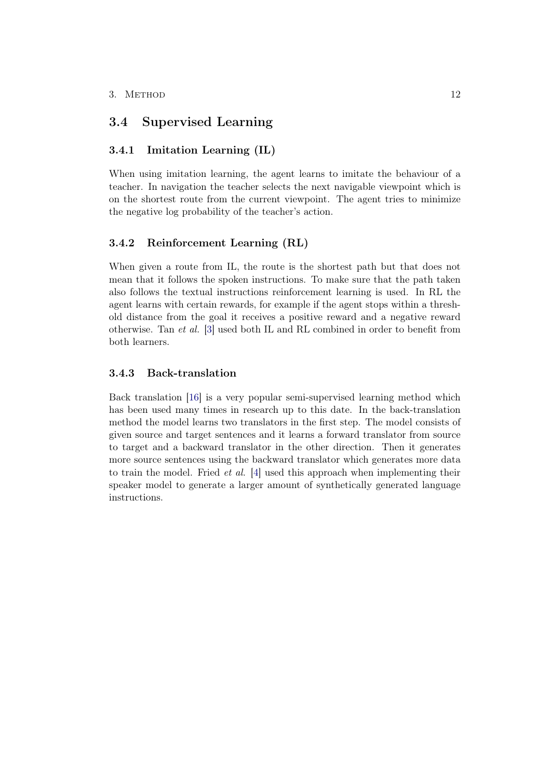## <span id="page-17-0"></span>3.4 Supervised Learning

### <span id="page-17-1"></span>3.4.1 Imitation Learning (IL)

When using imitation learning, the agent learns to imitate the behaviour of a teacher. In navigation the teacher selects the next navigable viewpoint which is on the shortest route from the current viewpoint. The agent tries to minimize the negative log probability of the teacher's action.

### <span id="page-17-2"></span>3.4.2 Reinforcement Learning (RL)

When given a route from IL, the route is the shortest path but that does not mean that it follows the spoken instructions. To make sure that the path taken also follows the textual instructions reinforcement learning is used. In RL the agent learns with certain rewards, for example if the agent stops within a threshold distance from the goal it receives a positive reward and a negative reward otherwise. Tan et al. [\[3\]](#page-32-3) used both IL and RL combined in order to benefit from both learners.

### <span id="page-17-3"></span>3.4.3 Back-translation

Back translation [\[16\]](#page-33-6) is a very popular semi-supervised learning method which has been used many times in research up to this date. In the back-translation method the model learns two translators in the first step. The model consists of given source and target sentences and it learns a forward translator from source to target and a backward translator in the other direction. Then it generates more source sentences using the backward translator which generates more data to train the model. Fried et al. [\[4\]](#page-32-4) used this approach when implementing their speaker model to generate a larger amount of synthetically generated language instructions.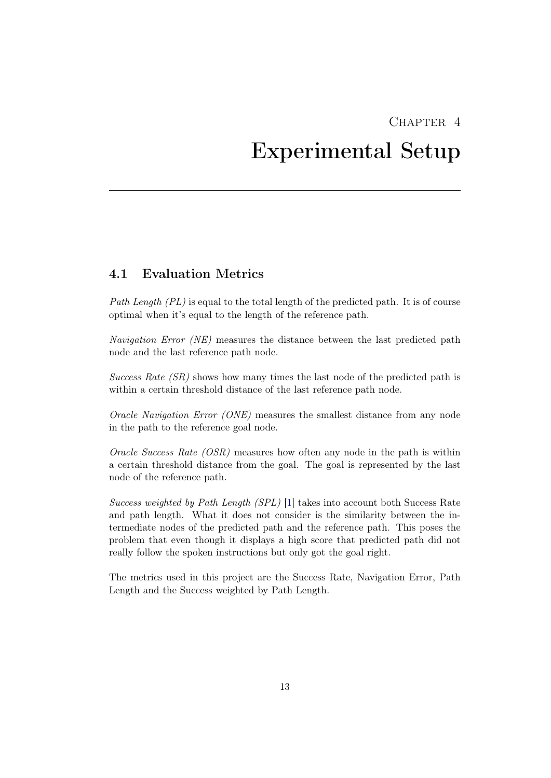# <span id="page-18-0"></span>CHAPTER<sub>4</sub> Experimental Setup

## <span id="page-18-1"></span>4.1 Evaluation Metrics

Path Length  $(PL)$  is equal to the total length of the predicted path. It is of course optimal when it's equal to the length of the reference path.

Navigation Error (NE) measures the distance between the last predicted path node and the last reference path node.

Success Rate  $(SR)$  shows how many times the last node of the predicted path is within a certain threshold distance of the last reference path node.

Oracle Navigation Error (ONE) measures the smallest distance from any node in the path to the reference goal node.

Oracle Success Rate  $(OSR)$  measures how often any node in the path is within a certain threshold distance from the goal. The goal is represented by the last node of the reference path.

Success weighted by Path Length (SPL) [\[1\]](#page-32-1) takes into account both Success Rate and path length. What it does not consider is the similarity between the intermediate nodes of the predicted path and the reference path. This poses the problem that even though it displays a high score that predicted path did not really follow the spoken instructions but only got the goal right.

The metrics used in this project are the Success Rate, Navigation Error, Path Length and the Success weighted by Path Length.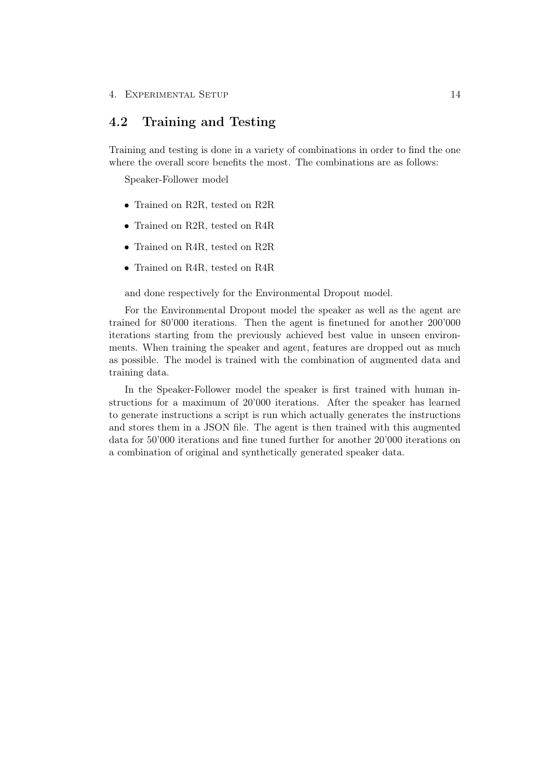## <span id="page-19-0"></span>4.2 Training and Testing

Training and testing is done in a variety of combinations in order to find the one where the overall score benefits the most. The combinations are as follows:

Speaker-Follower model

- Trained on R2R, tested on R2R
- Trained on R2R, tested on R4R
- Trained on R4R, tested on R2R
- Trained on R4R, tested on R4R

and done respectively for the Environmental Dropout model.

For the Environmental Dropout model the speaker as well as the agent are trained for 80'000 iterations. Then the agent is finetuned for another 200'000 iterations starting from the previously achieved best value in unseen environments. When training the speaker and agent, features are dropped out as much as possible. The model is trained with the combination of augmented data and training data.

In the Speaker-Follower model the speaker is first trained with human instructions for a maximum of 20'000 iterations. After the speaker has learned to generate instructions a script is run which actually generates the instructions and stores them in a JSON file. The agent is then trained with this augmented data for 50'000 iterations and fine tuned further for another 20'000 iterations on a combination of original and synthetically generated speaker data.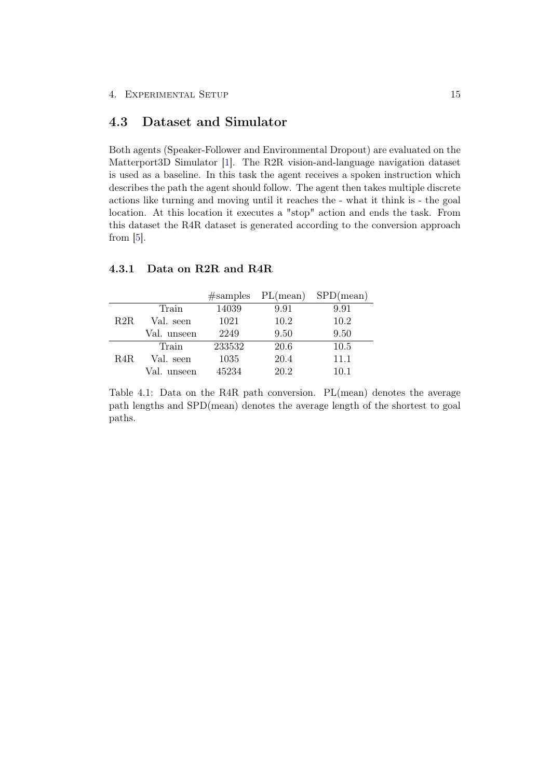## <span id="page-20-0"></span>4.3 Dataset and Simulator

Both agents (Speaker-Follower and Environmental Dropout) are evaluated on the Matterport3D Simulator [\[1\]](#page-32-1). The R2R vision-and-language navigation dataset is used as a baseline. In this task the agent receives a spoken instruction which describes the path the agent should follow. The agent then takes multiple discrete actions like turning and moving until it reaches the - what it think is - the goal location. At this location it executes a "stop" action and ends the task. From this dataset the R4R dataset is generated according to the conversion approach from [\[5\]](#page-32-5).

|      |             |        | $#samples$ PL(mean) | SPD(mean) |
|------|-------------|--------|---------------------|-----------|
|      | Train       | 14039  | 9.91                | 9.91      |
| R2R. | Val. seen   | 1021   | 10.2                | 10.2      |
|      | Val. unseen | 2249   | 9.50                | 9.50      |
|      | Train       | 233532 | 20.6                | 10.5      |
| R4R. | Val. seen   | 1035   | 20.4                | 11.1      |
|      | Val. unseen | 45234  | 20.2                | 10.1      |

### <span id="page-20-1"></span>4.3.1 Data on R2R and R4R

Table 4.1: Data on the R4R path conversion. PL(mean) denotes the average path lengths and SPD(mean) denotes the average length of the shortest to goal paths.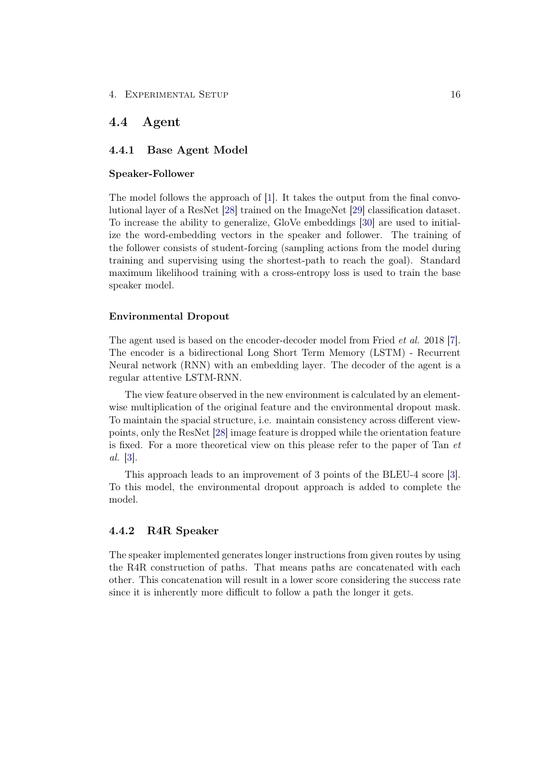#### 4. EXPERIMENTAL SETUP 16

## <span id="page-21-0"></span>4.4 Agent

### <span id="page-21-1"></span>4.4.1 Base Agent Model

#### Speaker-Follower

The model follows the approach of [\[1\]](#page-32-1). It takes the output from the final convolutional layer of a ResNet [\[28\]](#page-34-8) trained on the ImageNet [\[29\]](#page-34-9) classification dataset. To increase the ability to generalize, GloVe embeddings [\[30\]](#page-35-0) are used to initialize the word-embedding vectors in the speaker and follower. The training of the follower consists of student-forcing (sampling actions from the model during training and supervising using the shortest-path to reach the goal). Standard maximum likelihood training with a cross-entropy loss is used to train the base speaker model.

#### Environmental Dropout

The agent used is based on the encoder-decoder model from Fried *et al.* 2018 [\[7\]](#page-32-7). The encoder is a bidirectional Long Short Term Memory (LSTM) - Recurrent Neural network (RNN) with an embedding layer. The decoder of the agent is a regular attentive LSTM-RNN.

The view feature observed in the new environment is calculated by an elementwise multiplication of the original feature and the environmental dropout mask. To maintain the spacial structure, i.e. maintain consistency across different viewpoints, only the ResNet [\[28\]](#page-34-8) image feature is dropped while the orientation feature is fixed. For a more theoretical view on this please refer to the paper of Tan et al. [\[3\]](#page-32-3).

This approach leads to an improvement of 3 points of the BLEU-4 score [\[3\]](#page-32-3). To this model, the environmental dropout approach is added to complete the model.

#### <span id="page-21-2"></span>4.4.2 R4R Speaker

The speaker implemented generates longer instructions from given routes by using the R4R construction of paths. That means paths are concatenated with each other. This concatenation will result in a lower score considering the success rate since it is inherently more difficult to follow a path the longer it gets.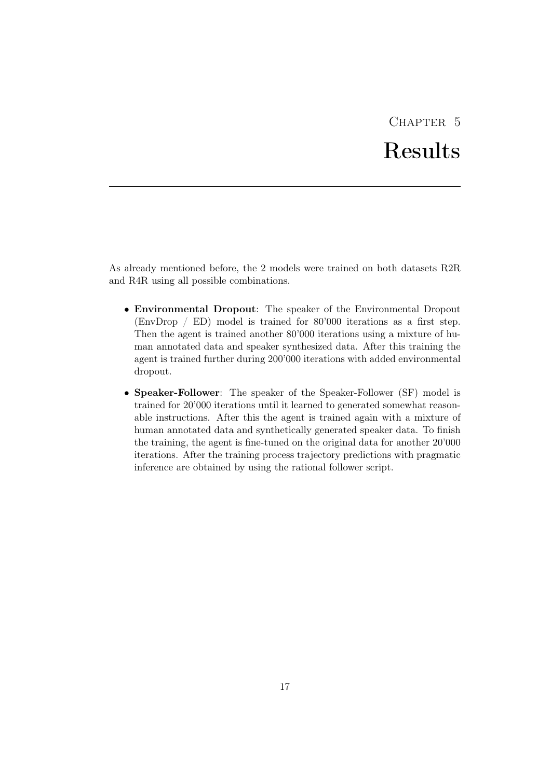# CHAPTER<sub>5</sub> Results

<span id="page-22-0"></span>As already mentioned before, the 2 models were trained on both datasets R2R and R4R using all possible combinations.

- Environmental Dropout: The speaker of the Environmental Dropout (EnvDrop / ED) model is trained for 80'000 iterations as a first step. Then the agent is trained another 80'000 iterations using a mixture of human annotated data and speaker synthesized data. After this training the agent is trained further during 200'000 iterations with added environmental dropout.
- Speaker-Follower: The speaker of the Speaker-Follower (SF) model is trained for 20'000 iterations until it learned to generated somewhat reasonable instructions. After this the agent is trained again with a mixture of human annotated data and synthetically generated speaker data. To finish the training, the agent is fine-tuned on the original data for another 20'000 iterations. After the training process trajectory predictions with pragmatic inference are obtained by using the rational follower script.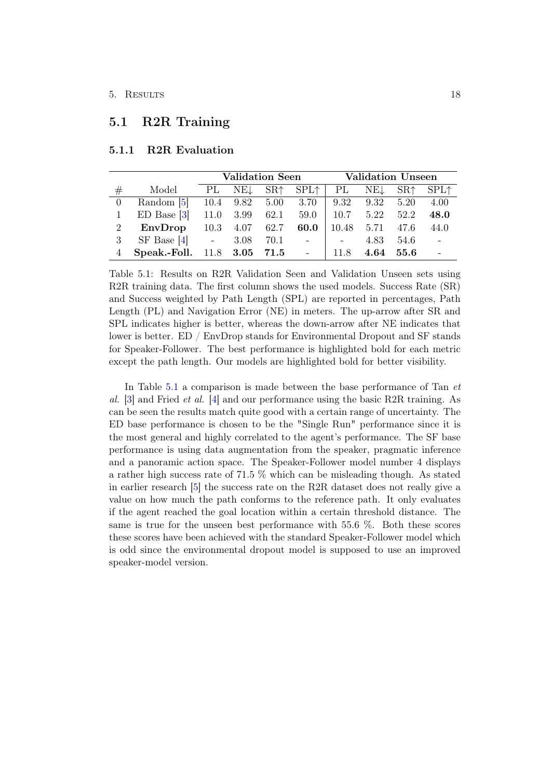## <span id="page-23-0"></span>5.1 R2R Training

|         |                               | Validation Seen |                   |                     |               |            | <b>Validation Unseen</b> |       |                  |
|---------|-------------------------------|-----------------|-------------------|---------------------|---------------|------------|--------------------------|-------|------------------|
| $^{\#}$ | Model                         | PL              | NEL               | $SR+$               | $SPL\uparrow$ | PL.        | NET                      | $SR+$ | SPL <sup>†</sup> |
|         | Random [5]                    |                 |                   | 10.4 9.82 5.00 3.70 |               | 9.32       | 9.32                     | 5.20  | 4.00             |
|         | $ED$ Base $[3]$               |                 | $11.0 \quad 3.99$ | 62.1                | 59.0          | 10.7       | 5.22                     | 52.2  | 48.0             |
| 2       | EnvDrop                       |                 | 10.3 4.07 62.7    |                     | 60.0          | 10.48      | 5.71                     | 47.6  | 44.0             |
|         | $SF$ Base [4] $-3.08$         |                 |                   |                     | $70.1 -$      | $\sim$ $-$ | 4.83                     | 54.6  | $\sim$ $-$       |
|         | Speak.-Foll. 11.8 3.05 71.5 - |                 |                   |                     |               | 11.8       | 4.64                     | 55.6  |                  |

### <span id="page-23-1"></span>5.1.1 R2R Evaluation

<span id="page-23-2"></span>Table 5.1: Results on R2R Validation Seen and Validation Unseen sets using R2R training data. The first column shows the used models. Success Rate (SR) and Success weighted by Path Length (SPL) are reported in percentages, Path Length (PL) and Navigation Error (NE) in meters. The up-arrow after SR and SPL indicates higher is better, whereas the down-arrow after NE indicates that lower is better. ED / EnvDrop stands for Environmental Dropout and SF stands for Speaker-Follower. The best performance is highlighted bold for each metric except the path length. Our models are highlighted bold for better visibility.

In Table [5.1](#page-23-2) a comparison is made between the base performance of Tan et al. [\[3\]](#page-32-3) and Fried *et al.* [\[4\]](#page-32-4) and our performance using the basic R2R training. As can be seen the results match quite good with a certain range of uncertainty. The ED base performance is chosen to be the "Single Run" performance since it is the most general and highly correlated to the agent's performance. The SF base performance is using data augmentation from the speaker, pragmatic inference and a panoramic action space. The Speaker-Follower model number 4 displays a rather high success rate of 71.5 % which can be misleading though. As stated in earlier research [\[5\]](#page-32-5) the success rate on the R2R dataset does not really give a value on how much the path conforms to the reference path. It only evaluates if the agent reached the goal location within a certain threshold distance. The same is true for the unseen best performance with 55.6 %. Both these scores these scores have been achieved with the standard Speaker-Follower model which is odd since the environmental dropout model is supposed to use an improved speaker-model version.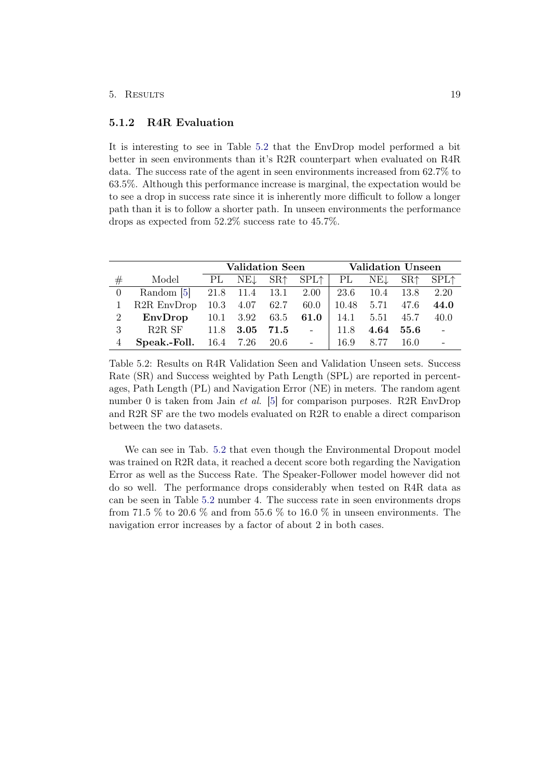#### 5. Results 19

### <span id="page-24-0"></span>5.1.2 R4R Evaluation

It is interesting to see in Table [5.2](#page-24-1) that the EnvDrop model performed a bit better in seen environments than it's R2R counterpart when evaluated on R4R data. The success rate of the agent in seen environments increased from 62.7% to 63.5%. Although this performance increase is marginal, the expectation would be to see a drop in success rate since it is inherently more difficult to follow a longer path than it is to follow a shorter path. In unseen environments the performance drops as expected from 52.2% success rate to 45.7%.

|   |                                      |      | <b>Validation Seen</b>           |  |                             |            | <b>Validation Unseen</b> |      |                                                     |
|---|--------------------------------------|------|----------------------------------|--|-----------------------------|------------|--------------------------|------|-----------------------------------------------------|
| # | Model                                | - PL |                                  |  | NE <sub>↓</sub> SR↑ SPL↑    |            |                          |      | PL NE <sub>L</sub> SR <sup>†</sup> SPL <sup>†</sup> |
|   | Random [5] 21.8 11.4 13.1 2.00       |      |                                  |  |                             | 23.6       | 10.4                     | 13.8 | 2.20                                                |
|   | R <sub>2</sub> R EnvDrop             |      |                                  |  | $10.3$ $4.07$ $62.7$ $60.0$ | 10.48 5.71 |                          | 47.6 | 44.0                                                |
| 2 | EnvDrop                              |      | $10.1$ $3.92$ $63.5$ <b>61.0</b> |  |                             | 14.1       | 5.51                     | 45.7 | 40.0                                                |
| 3 | R <sub>2</sub> R SF 11.8             |      | $3.05\,$                         |  | 71.5 -                      | 11.8       | 4.64                     | 55.6 | $\sim 100$                                          |
|   | <b>Speak.-Foll.</b> 16.4 7.26 20.6 - |      |                                  |  |                             | 16.9       | 8.77                     | 16.0 |                                                     |

<span id="page-24-1"></span>Table 5.2: Results on R4R Validation Seen and Validation Unseen sets. Success Rate (SR) and Success weighted by Path Length (SPL) are reported in percentages, Path Length (PL) and Navigation Error (NE) in meters. The random agent number 0 is taken from Jain *et al.* [\[5\]](#page-32-5) for comparison purposes. R2R EnvDrop and R2R SF are the two models evaluated on R2R to enable a direct comparison between the two datasets.

We can see in Tab. [5.2](#page-24-1) that even though the Environmental Dropout model was trained on R2R data, it reached a decent score both regarding the Navigation Error as well as the Success Rate. The Speaker-Follower model however did not do so well. The performance drops considerably when tested on R4R data as can be seen in Table [5.2](#page-24-1) number 4. The success rate in seen environments drops from 71.5  $\%$  to 20.6  $\%$  and from 55.6  $\%$  to 16.0  $\%$  in unseen environments. The navigation error increases by a factor of about 2 in both cases.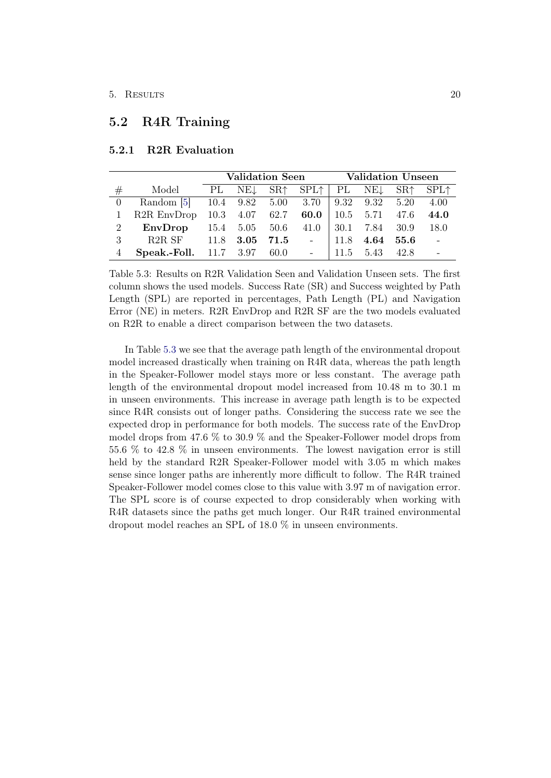## <span id="page-25-0"></span>5.2 R4R Training

|   |                                                  |      | Validation Seen Validation Unseen |  |                                       |      |           |           |                  |
|---|--------------------------------------------------|------|-----------------------------------|--|---------------------------------------|------|-----------|-----------|------------------|
| # | Model                                            | - PL |                                   |  | $NEL$ $SR \uparrow$ $SPL \uparrow$ PL |      | NEJ       | $SR+$     | SPL <sup>†</sup> |
|   | Random [5] 10.4 9.82 5.00 3.70 9.32 9.32         |      |                                   |  |                                       |      |           | 5.20      | 4.00             |
|   | R2R EnvDrop 10.3 4.07 62.7                       |      |                                   |  | 60.0                                  |      | 10.5 5.71 | 47.6      | 44.0             |
| 2 | EnvDrop                                          |      | 15.4 5.05 50.6 41.0               |  |                                       | 30.1 | 7.84      | 30.9      | 18.0             |
| 3 | R2R SF 11.8 3.05                                 |      |                                   |  | $71.5$ -                              | 11.8 |           | 4.64 55.6 | $\sim$ $-$       |
|   | <b>Speak.-Foll.</b> $11.7 \quad 3.97 \quad 60.0$ |      |                                   |  |                                       | 11.5 | 5.43      | 42.8      |                  |

### <span id="page-25-1"></span>5.2.1 R2R Evaluation

<span id="page-25-2"></span>Table 5.3: Results on R2R Validation Seen and Validation Unseen sets. The first column shows the used models. Success Rate (SR) and Success weighted by Path Length (SPL) are reported in percentages, Path Length (PL) and Navigation Error (NE) in meters. R2R EnvDrop and R2R SF are the two models evaluated on R2R to enable a direct comparison between the two datasets.

In Table [5.3](#page-25-2) we see that the average path length of the environmental dropout model increased drastically when training on R4R data, whereas the path length in the Speaker-Follower model stays more or less constant. The average path length of the environmental dropout model increased from 10.48 m to 30.1 m in unseen environments. This increase in average path length is to be expected since R4R consists out of longer paths. Considering the success rate we see the expected drop in performance for both models. The success rate of the EnvDrop model drops from 47.6 % to 30.9 % and the Speaker-Follower model drops from 55.6 % to 42.8 % in unseen environments. The lowest navigation error is still held by the standard R2R Speaker-Follower model with 3.05 m which makes sense since longer paths are inherently more difficult to follow. The R4R trained Speaker-Follower model comes close to this value with 3.97 m of navigation error. The SPL score is of course expected to drop considerably when working with R4R datasets since the paths get much longer. Our R4R trained environmental dropout model reaches an SPL of 18.0 % in unseen environments.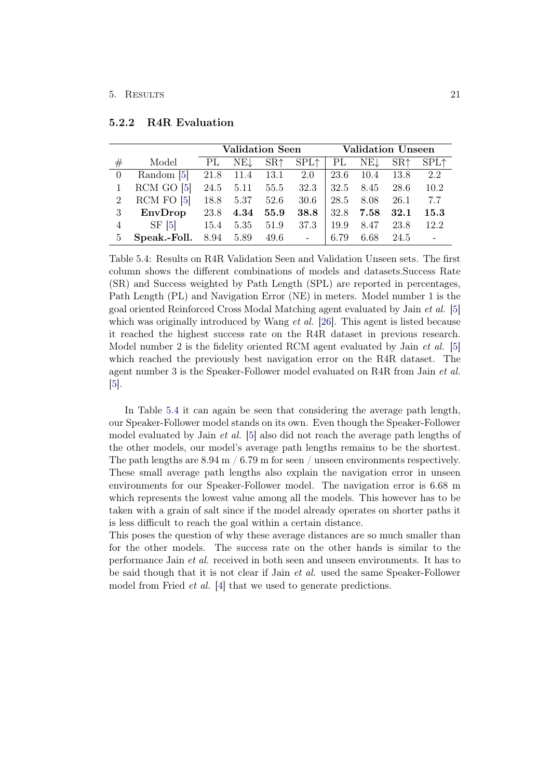|                |                | <b>Validation Seen</b> |           |       |               |      |       | <b>Validation Unseen</b> |        |
|----------------|----------------|------------------------|-----------|-------|---------------|------|-------|--------------------------|--------|
| #              | Model          | PL                     | NE↓       | $SR+$ | $SPL\uparrow$ | PL   | NEL   | SR <sub>1</sub>          | $SPL+$ |
| $\Omega$       | Random [5]     | 21.8                   | 11.4      | 13.1  | 2.0           | 23.6 | -10.4 | 13.8                     | 2.2    |
|                | $RCM$ GO $[5]$ |                        | 24.5 5.11 |       | 55.5 32.3     | 32.5 | 8.45  | 28.6                     | 10.2   |
| 2              | $RCM$ FO $[5]$ | 18.8                   | 5.37      | 52.6  | - 30.6        | 28.5 | 8.08  | 26.1                     | 7.7    |
| 3              | EnvDrop        | 23.8                   | 4.34      | 55.9  | 38.8          | 32.8 | 7.58  | 32.1                     | 15.3   |
| $\overline{4}$ | $SF \, 5$      | 15.4                   | 5.35      | 51.9  | 37.3          | 19.9 | 8.47  | 23.8                     | 12.2   |
| 5              | Speak.-Foll.   |                        | 8.94 5.89 |       | $49.6 -$      | 6.79 | 6.68  | 24.5                     |        |

#### <span id="page-26-0"></span>5.2.2 R4R Evaluation

<span id="page-26-1"></span>Table 5.4: Results on R4R Validation Seen and Validation Unseen sets. The first column shows the different combinations of models and datasets.Success Rate (SR) and Success weighted by Path Length (SPL) are reported in percentages, Path Length (PL) and Navigation Error (NE) in meters. Model number 1 is the goal oriented Reinforced Cross Modal Matching agent evaluated by Jain et al. [\[5\]](#page-32-5) which was originally introduced by Wang  $et \, al.$  [\[26\]](#page-34-6). This agent is listed because it reached the highest success rate on the R4R dataset in previous research. Model number 2 is the fidelity oriented RCM agent evaluated by Jain *et al.* [\[5\]](#page-32-5) which reached the previously best navigation error on the R4R dataset. The agent number 3 is the Speaker-Follower model evaluated on R4R from Jain et al. [\[5\]](#page-32-5).

In Table [5.4](#page-26-1) it can again be seen that considering the average path length, our Speaker-Follower model stands on its own. Even though the Speaker-Follower model evaluated by Jain et al. [\[5\]](#page-32-5) also did not reach the average path lengths of the other models, our model's average path lengths remains to be the shortest. The path lengths are  $8.94 \text{ m} / 6.79 \text{ m}$  for seen / unseen environments respectively. These small average path lengths also explain the navigation error in unseen environments for our Speaker-Follower model. The navigation error is 6.68 m which represents the lowest value among all the models. This however has to be taken with a grain of salt since if the model already operates on shorter paths it is less difficult to reach the goal within a certain distance.

This poses the question of why these average distances are so much smaller than for the other models. The success rate on the other hands is similar to the performance Jain et al. received in both seen and unseen environments. It has to be said though that it is not clear if Jain et al. used the same Speaker-Follower model from Fried *et al.* [\[4\]](#page-32-4) that we used to generate predictions.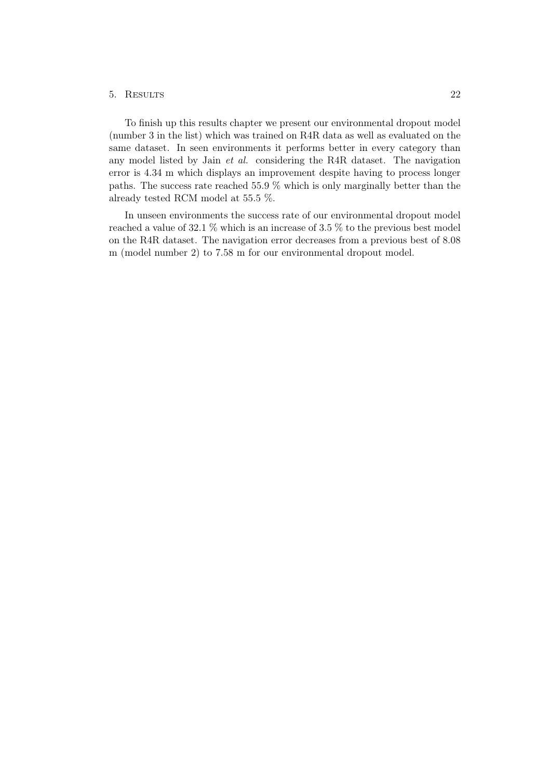#### 5. Results 22

To finish up this results chapter we present our environmental dropout model (number 3 in the list) which was trained on R4R data as well as evaluated on the same dataset. In seen environments it performs better in every category than any model listed by Jain et al. considering the R4R dataset. The navigation error is 4.34 m which displays an improvement despite having to process longer paths. The success rate reached 55.9 % which is only marginally better than the already tested RCM model at 55.5 %.

In unseen environments the success rate of our environmental dropout model reached a value of 32.1 % which is an increase of 3.5 % to the previous best model on the R4R dataset. The navigation error decreases from a previous best of 8.08 m (model number 2) to 7.58 m for our environmental dropout model.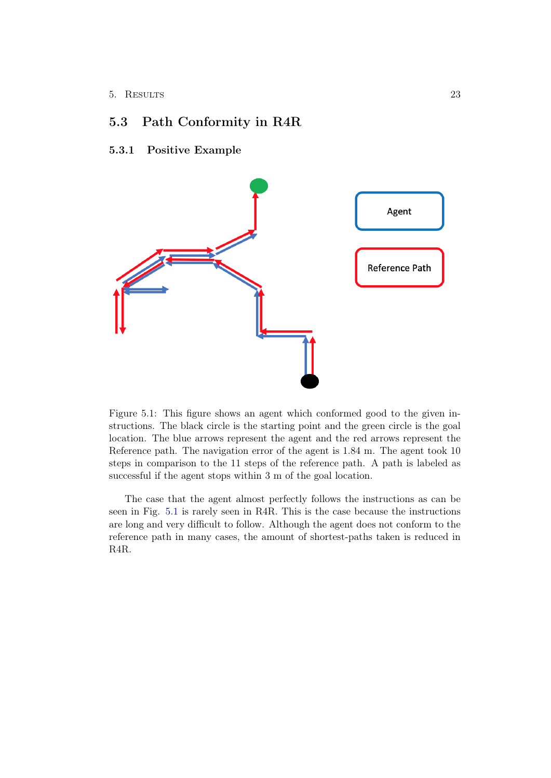# <span id="page-28-0"></span>5.3 Path Conformity in R4R

### <span id="page-28-1"></span>5.3.1 Positive Example



<span id="page-28-2"></span>Figure 5.1: This figure shows an agent which conformed good to the given instructions. The black circle is the starting point and the green circle is the goal location. The blue arrows represent the agent and the red arrows represent the Reference path. The navigation error of the agent is 1.84 m. The agent took 10 steps in comparison to the 11 steps of the reference path. A path is labeled as successful if the agent stops within 3 m of the goal location.

The case that the agent almost perfectly follows the instructions as can be seen in Fig. [5.1](#page-28-2) is rarely seen in R4R. This is the case because the instructions are long and very difficult to follow. Although the agent does not conform to the reference path in many cases, the amount of shortest-paths taken is reduced in R4R.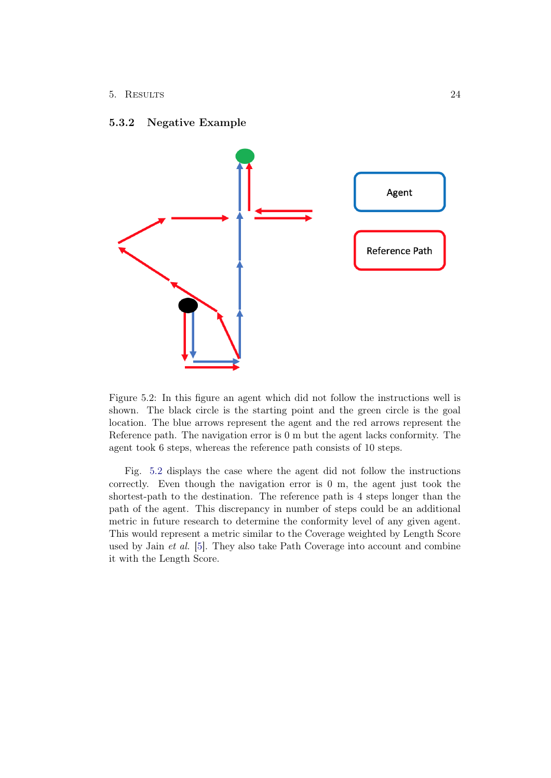### <span id="page-29-0"></span>5.3.2 Negative Example



<span id="page-29-1"></span>Figure 5.2: In this figure an agent which did not follow the instructions well is shown. The black circle is the starting point and the green circle is the goal location. The blue arrows represent the agent and the red arrows represent the Reference path. The navigation error is 0 m but the agent lacks conformity. The agent took 6 steps, whereas the reference path consists of 10 steps.

Fig. [5.2](#page-29-1) displays the case where the agent did not follow the instructions correctly. Even though the navigation error is 0 m, the agent just took the shortest-path to the destination. The reference path is 4 steps longer than the path of the agent. This discrepancy in number of steps could be an additional metric in future research to determine the conformity level of any given agent. This would represent a metric similar to the Coverage weighted by Length Score used by Jain et al. [\[5\]](#page-32-5). They also take Path Coverage into account and combine it with the Length Score.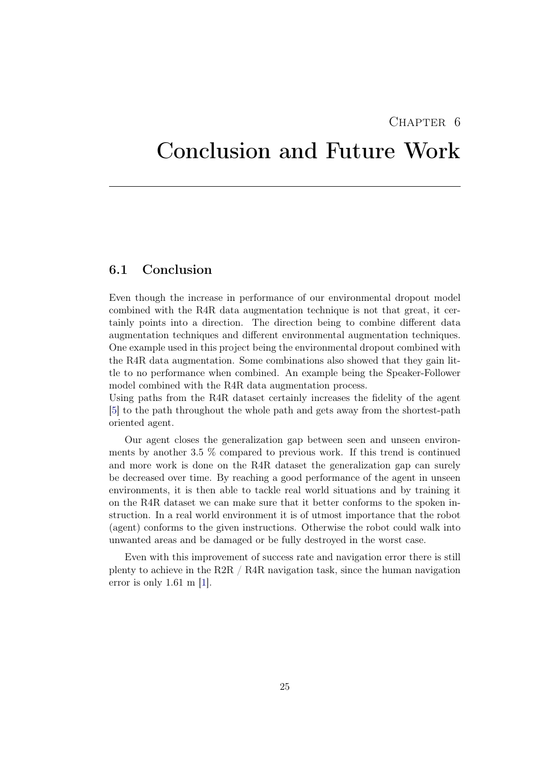## CHAPTER 6

# <span id="page-30-0"></span>Conclusion and Future Work

## <span id="page-30-1"></span>6.1 Conclusion

Even though the increase in performance of our environmental dropout model combined with the R4R data augmentation technique is not that great, it certainly points into a direction. The direction being to combine different data augmentation techniques and different environmental augmentation techniques. One example used in this project being the environmental dropout combined with the R4R data augmentation. Some combinations also showed that they gain little to no performance when combined. An example being the Speaker-Follower model combined with the R4R data augmentation process.

Using paths from the R4R dataset certainly increases the fidelity of the agent [\[5\]](#page-32-5) to the path throughout the whole path and gets away from the shortest-path oriented agent.

Our agent closes the generalization gap between seen and unseen environments by another 3.5 % compared to previous work. If this trend is continued and more work is done on the R4R dataset the generalization gap can surely be decreased over time. By reaching a good performance of the agent in unseen environments, it is then able to tackle real world situations and by training it on the R4R dataset we can make sure that it better conforms to the spoken instruction. In a real world environment it is of utmost importance that the robot (agent) conforms to the given instructions. Otherwise the robot could walk into unwanted areas and be damaged or be fully destroyed in the worst case.

Even with this improvement of success rate and navigation error there is still plenty to achieve in the R2R / R4R navigation task, since the human navigation error is only 1.61 m [\[1\]](#page-32-1).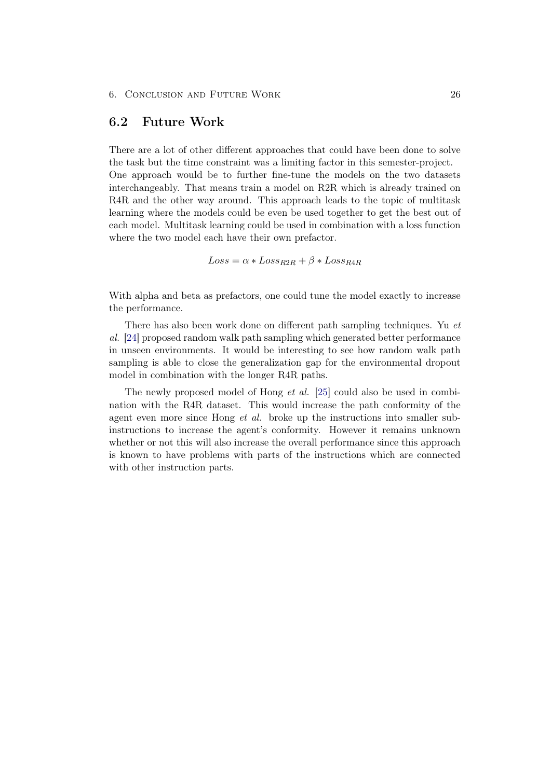## <span id="page-31-0"></span>6.2 Future Work

There are a lot of other different approaches that could have been done to solve the task but the time constraint was a limiting factor in this semester-project. One approach would be to further fine-tune the models on the two datasets interchangeably. That means train a model on R2R which is already trained on R4R and the other way around. This approach leads to the topic of multitask learning where the models could be even be used together to get the best out of each model. Multitask learning could be used in combination with a loss function where the two model each have their own prefactor.

 $Loss = \alpha * Loss_{R2R} + \beta * Loss_{R4R}$ 

With alpha and beta as prefactors, one could tune the model exactly to increase the performance.

There has also been work done on different path sampling techniques. Yu et al. [\[24\]](#page-34-4) proposed random walk path sampling which generated better performance in unseen environments. It would be interesting to see how random walk path sampling is able to close the generalization gap for the environmental dropout model in combination with the longer R4R paths.

The newly proposed model of Hong et al. [\[25\]](#page-34-5) could also be used in combination with the R4R dataset. This would increase the path conformity of the agent even more since Hong et al. broke up the instructions into smaller subinstructions to increase the agent's conformity. However it remains unknown whether or not this will also increase the overall performance since this approach is known to have problems with parts of the instructions which are connected with other instruction parts.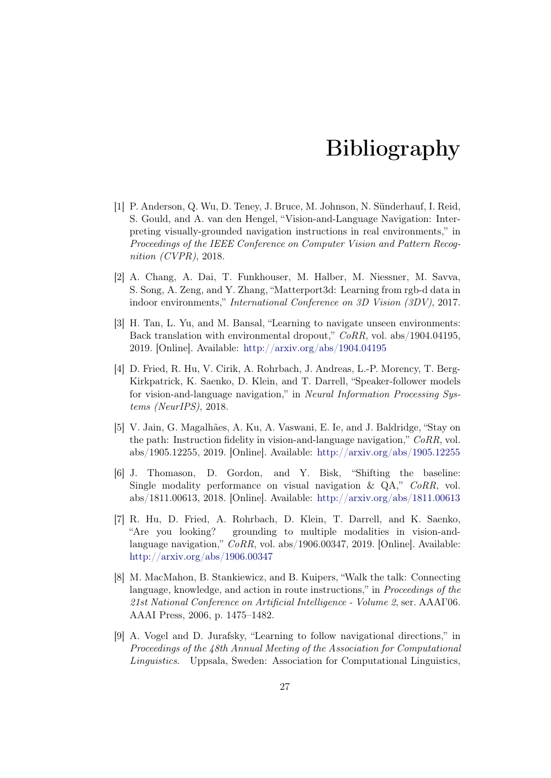# Bibliography

- <span id="page-32-1"></span><span id="page-32-0"></span>[1] P. Anderson, Q. Wu, D. Teney, J. Bruce, M. Johnson, N. Sünderhauf, I. Reid, S. Gould, and A. van den Hengel, "Vision-and-Language Navigation: Interpreting visually-grounded navigation instructions in real environments," in Proceedings of the IEEE Conference on Computer Vision and Pattern Recognition (CVPR), 2018.
- <span id="page-32-2"></span>[2] A. Chang, A. Dai, T. Funkhouser, M. Halber, M. Niessner, M. Savva, S. Song, A. Zeng, and Y. Zhang, "Matterport3d: Learning from rgb-d data in indoor environments," International Conference on 3D Vision (3DV), 2017.
- <span id="page-32-3"></span>[3] H. Tan, L. Yu, and M. Bansal, "Learning to navigate unseen environments: Back translation with environmental dropout," CoRR, vol. abs/1904.04195, 2019. [Online]. Available: <http://arxiv.org/abs/1904.04195>
- <span id="page-32-4"></span>[4] D. Fried, R. Hu, V. Cirik, A. Rohrbach, J. Andreas, L.-P. Morency, T. Berg-Kirkpatrick, K. Saenko, D. Klein, and T. Darrell, "Speaker-follower models for vision-and-language navigation," in Neural Information Processing Systems (NeurIPS), 2018.
- <span id="page-32-5"></span>[5] V. Jain, G. Magalhães, A. Ku, A. Vaswani, E. Ie, and J. Baldridge, "Stay on the path: Instruction fidelity in vision-and-language navigation,"  $CoRR$ , vol. abs/1905.12255, 2019. [Online]. Available: <http://arxiv.org/abs/1905.12255>
- <span id="page-32-6"></span>[6] J. Thomason, D. Gordon, and Y. Bisk, "Shifting the baseline: Single modality performance on visual navigation & QA," CoRR, vol. abs/1811.00613, 2018. [Online]. Available: <http://arxiv.org/abs/1811.00613>
- <span id="page-32-7"></span>[7] R. Hu, D. Fried, A. Rohrbach, D. Klein, T. Darrell, and K. Saenko, "Are you looking? grounding to multiple modalities in vision-andlanguage navigation," CoRR, vol. abs/1906.00347, 2019. [Online]. Available: <http://arxiv.org/abs/1906.00347>
- <span id="page-32-8"></span>[8] M. MacMahon, B. Stankiewicz, and B. Kuipers, "Walk the talk: Connecting language, knowledge, and action in route instructions," in Proceedings of the 21st National Conference on Artificial Intelligence - Volume 2, ser. AAAI'06. AAAI Press, 2006, p. 1475–1482.
- <span id="page-32-9"></span>[9] A. Vogel and D. Jurafsky, "Learning to follow navigational directions," in Proceedings of the 48th Annual Meeting of the Association for Computational Linguistics. Uppsala, Sweden: Association for Computational Linguistics,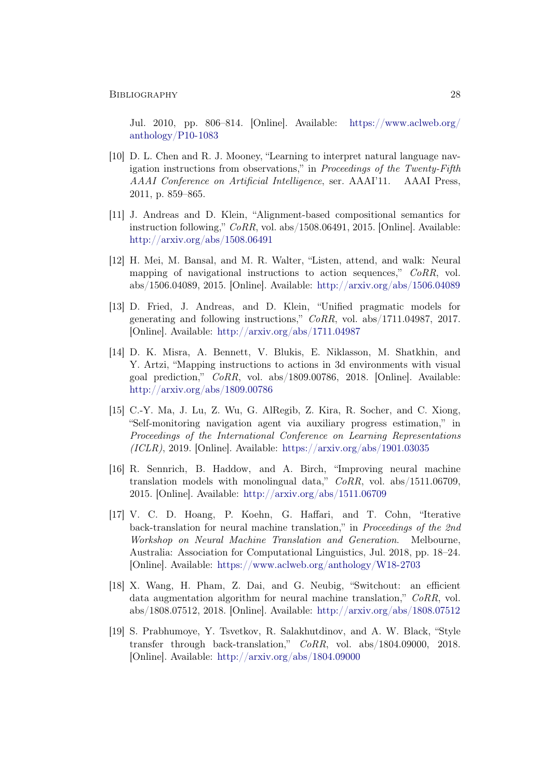Jul. 2010, pp. 806–814. [Online]. Available: [https://www.aclweb.org/](https://www.aclweb.org/anthology/P10-1083) [anthology/P10-1083](https://www.aclweb.org/anthology/P10-1083)

- <span id="page-33-0"></span>[10] D. L. Chen and R. J. Mooney, "Learning to interpret natural language navigation instructions from observations," in *Proceedings of the Twenty-Fifth* AAAI Conference on Artificial Intelligence, ser. AAAI'11. AAAI Press, 2011, p. 859–865.
- <span id="page-33-1"></span>[11] J. Andreas and D. Klein, "Alignment-based compositional semantics for instruction following," CoRR, vol. abs/1508.06491, 2015. [Online]. Available: <http://arxiv.org/abs/1508.06491>
- <span id="page-33-2"></span>[12] H. Mei, M. Bansal, and M. R. Walter, "Listen, attend, and walk: Neural mapping of navigational instructions to action sequences," CoRR, vol. abs/1506.04089, 2015. [Online]. Available: <http://arxiv.org/abs/1506.04089>
- <span id="page-33-3"></span>[13] D. Fried, J. Andreas, and D. Klein, "Unified pragmatic models for generating and following instructions," CoRR, vol. abs/1711.04987, 2017. [Online]. Available: <http://arxiv.org/abs/1711.04987>
- <span id="page-33-4"></span>[14] D. K. Misra, A. Bennett, V. Blukis, E. Niklasson, M. Shatkhin, and Y. Artzi, "Mapping instructions to actions in 3d environments with visual goal prediction," CoRR, vol. abs/1809.00786, 2018. [Online]. Available: <http://arxiv.org/abs/1809.00786>
- <span id="page-33-5"></span>[15] C.-Y. Ma, J. Lu, Z. Wu, G. AlRegib, Z. Kira, R. Socher, and C. Xiong, "Self-monitoring navigation agent via auxiliary progress estimation," in Proceedings of the International Conference on Learning Representations  $(ICLR)$ , 2019. [Online]. Available: <https://arxiv.org/abs/1901.03035>
- <span id="page-33-6"></span>[16] R. Sennrich, B. Haddow, and A. Birch, "Improving neural machine translation models with monolingual data,"  $CoRR$ , vol. abs/1511.06709, 2015. [Online]. Available: <http://arxiv.org/abs/1511.06709>
- <span id="page-33-7"></span>[17] V. C. D. Hoang, P. Koehn, G. Haffari, and T. Cohn, "Iterative back-translation for neural machine translation," in Proceedings of the 2nd Workshop on Neural Machine Translation and Generation. Melbourne, Australia: Association for Computational Linguistics, Jul. 2018, pp. 18–24. [Online]. Available: <https://www.aclweb.org/anthology/W18-2703>
- <span id="page-33-8"></span>[18] X. Wang, H. Pham, Z. Dai, and G. Neubig, "Switchout: an efficient data augmentation algorithm for neural machine translation," CoRR, vol. abs/1808.07512, 2018. [Online]. Available: <http://arxiv.org/abs/1808.07512>
- <span id="page-33-9"></span>[19] S. Prabhumoye, Y. Tsvetkov, R. Salakhutdinov, and A. W. Black, "Style transfer through back-translation," CoRR, vol. abs/1804.09000, 2018. [Online]. Available: <http://arxiv.org/abs/1804.09000>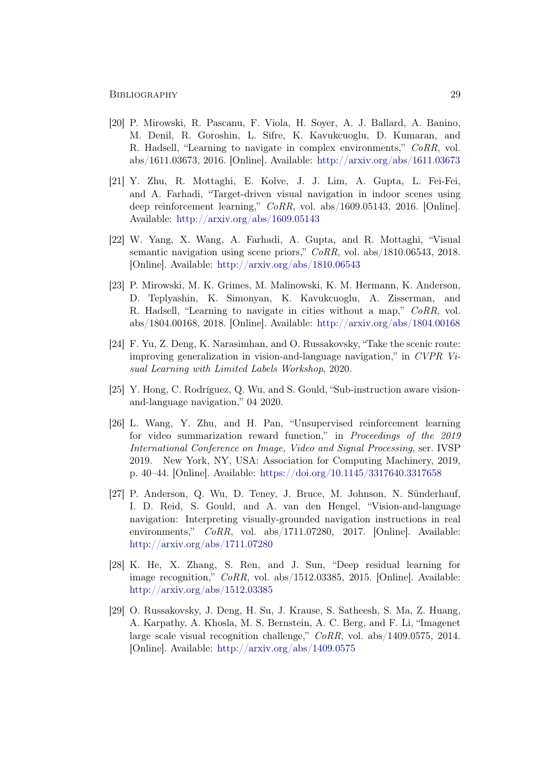- <span id="page-34-0"></span>[20] P. Mirowski, R. Pascanu, F. Viola, H. Soyer, A. J. Ballard, A. Banino, M. Denil, R. Goroshin, L. Sifre, K. Kavukcuoglu, D. Kumaran, and R. Hadsell, "Learning to navigate in complex environments," CoRR, vol. abs/1611.03673, 2016. [Online]. Available: <http://arxiv.org/abs/1611.03673>
- <span id="page-34-1"></span>[21] Y. Zhu, R. Mottaghi, E. Kolve, J. J. Lim, A. Gupta, L. Fei-Fei, and A. Farhadi, "Target-driven visual navigation in indoor scenes using deep reinforcement learning," CoRR, vol. abs/1609.05143, 2016. [Online]. Available: <http://arxiv.org/abs/1609.05143>
- <span id="page-34-2"></span>[22] W. Yang, X. Wang, A. Farhadi, A. Gupta, and R. Mottaghi, "Visual semantic navigation using scene priors," CoRR, vol. abs/1810.06543, 2018. [Online]. Available: <http://arxiv.org/abs/1810.06543>
- <span id="page-34-3"></span>[23] P. Mirowski, M. K. Grimes, M. Malinowski, K. M. Hermann, K. Anderson, D. Teplyashin, K. Simonyan, K. Kavukcuoglu, A. Zisserman, and R. Hadsell, "Learning to navigate in cities without a map," CoRR, vol. abs/1804.00168, 2018. [Online]. Available: <http://arxiv.org/abs/1804.00168>
- <span id="page-34-4"></span>[24] F. Yu, Z. Deng, K. Narasimhan, and O. Russakovsky, "Take the scenic route: improving generalization in vision-and-language navigation," in CVPR Visual Learning with Limited Labels Workshop, 2020.
- <span id="page-34-5"></span>[25] Y. Hong, C. Rodríguez, Q. Wu, and S. Gould, "Sub-instruction aware visionand-language navigation," 04 2020.
- <span id="page-34-6"></span>[26] L. Wang, Y. Zhu, and H. Pan, "Unsupervised reinforcement learning for video summarization reward function," in Proceedings of the 2019 International Conference on Image, Video and Signal Processing, ser. IVSP 2019. New York, NY, USA: Association for Computing Machinery, 2019, p. 40–44. [Online]. Available: <https://doi.org/10.1145/3317640.3317658>
- <span id="page-34-7"></span>[27] P. Anderson, Q. Wu, D. Teney, J. Bruce, M. Johnson, N. Sünderhauf, I. D. Reid, S. Gould, and A. van den Hengel, "Vision-and-language navigation: Interpreting visually-grounded navigation instructions in real environments," CoRR, vol. abs/1711.07280, 2017. [Online]. Available: <http://arxiv.org/abs/1711.07280>
- <span id="page-34-8"></span>[28] K. He, X. Zhang, S. Ren, and J. Sun, "Deep residual learning for image recognition," CoRR, vol. abs/1512.03385, 2015. [Online]. Available: <http://arxiv.org/abs/1512.03385>
- <span id="page-34-9"></span>[29] O. Russakovsky, J. Deng, H. Su, J. Krause, S. Satheesh, S. Ma, Z. Huang, A. Karpathy, A. Khosla, M. S. Bernstein, A. C. Berg, and F. Li, "Imagenet large scale visual recognition challenge," CoRR, vol. abs/1409.0575, 2014. [Online]. Available: <http://arxiv.org/abs/1409.0575>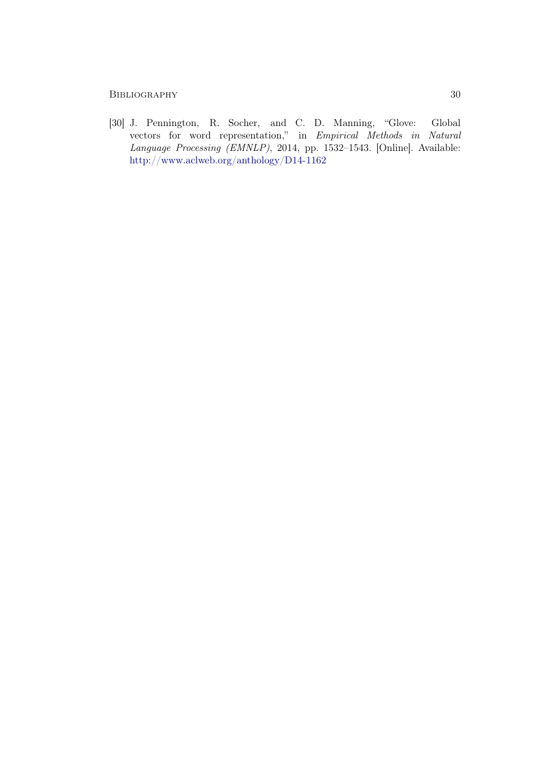### BIBLIOGRAPHY 30

<span id="page-35-0"></span>[30] J. Pennington, R. Socher, and C. D. Manning, "Glove: Global vectors for word representation," in Empirical Methods in Natural Language Processing (EMNLP), 2014, pp. 1532–1543. [Online]. Available: <http://www.aclweb.org/anthology/D14-1162>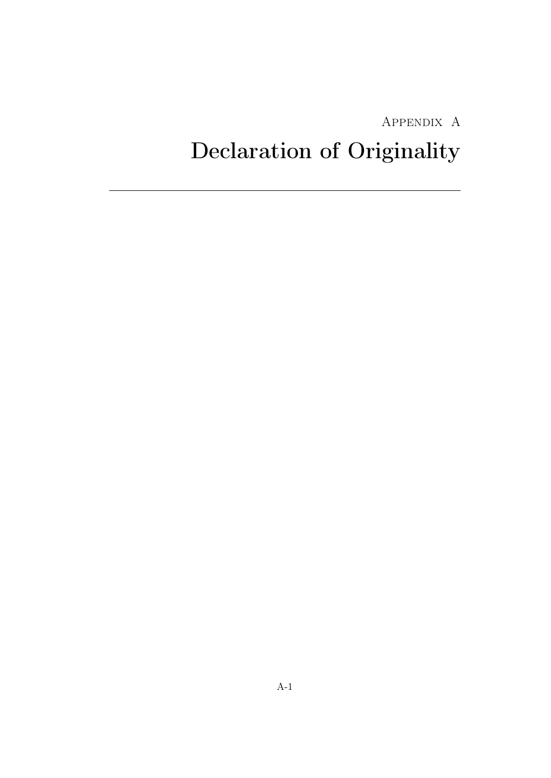# Appendix A

# <span id="page-36-0"></span>Declaration of Originality